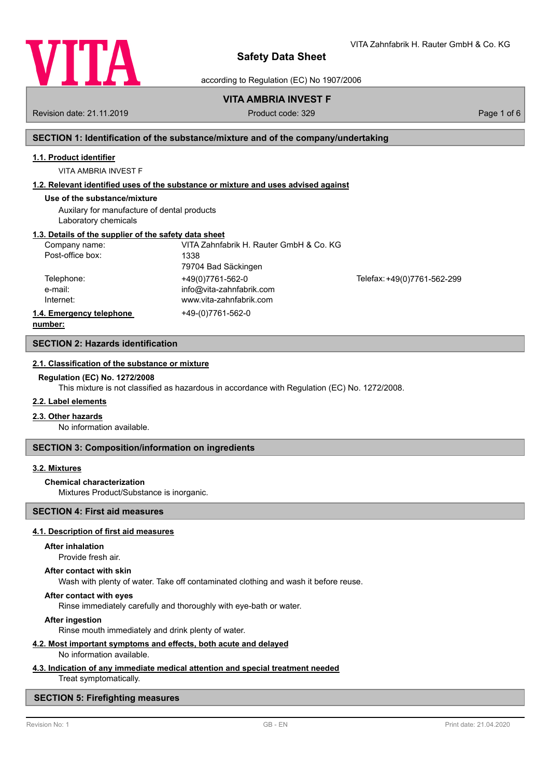

VITA Zahnfabrik H. Rauter GmbH & Co. KG

according to Regulation (EC) No 1907/2006

# **VITA AMBRIA INVEST F**

Revision date: 21.11.2019 **Product code: 329** Product code: 329 **Page 1 of 6** Page 1 of 6

# **SECTION 1: Identification of the substance/mixture and of the company/undertaking**

# **1.1. Product identifier**

VITA AMBRIA INVEST F

# **1.2. Relevant identified uses of the substance or mixture and uses advised against**

# **Use of the substance/mixture**

Auxilary for manufacture of dental products Laboratory chemicals

# **1.3. Details of the supplier of the safety data sheet**

| Company name:            | VITA Zahnfabrik H. Rauter GmbH & Co. KG |                             |
|--------------------------|-----------------------------------------|-----------------------------|
| Post-office box:         | 1338                                    |                             |
|                          | 79704 Bad Säckingen                     |                             |
| Telephone:               | +49(0)7761-562-0                        | Telefax: +49(0)7761-562-299 |
| e-mail:                  | info@vita-zahnfabrik.com                |                             |
| Internet:                | www.vita-zahnfabrik.com                 |                             |
| 1.4. Emergency telephone | +49-(0)7761-562-0                       |                             |
| .                        |                                         |                             |

**number:**

### **SECTION 2: Hazards identification**

#### **2.1. Classification of the substance or mixture**

#### **Regulation (EC) No. 1272/2008**

This mixture is not classified as hazardous in accordance with Regulation (EC) No. 1272/2008.

## **2.2. Label elements**

#### **2.3. Other hazards**

No information available.

#### **SECTION 3: Composition/information on ingredients**

#### **3.2. Mixtures**

#### **Chemical characterization**

Mixtures Product/Substance is inorganic.

#### **SECTION 4: First aid measures**

#### **4.1. Description of first aid measures**

#### **After inhalation**

Provide fresh air.

#### **After contact with skin**

Wash with plenty of water. Take off contaminated clothing and wash it before reuse.

## **After contact with eyes**

Rinse immediately carefully and thoroughly with eye-bath or water.

## **After ingestion**

Rinse mouth immediately and drink plenty of water.

# **4.2. Most important symptoms and effects, both acute and delayed**

No information available.

# **4.3. Indication of any immediate medical attention and special treatment needed**

Treat symptomatically.

# **SECTION 5: Firefighting measures**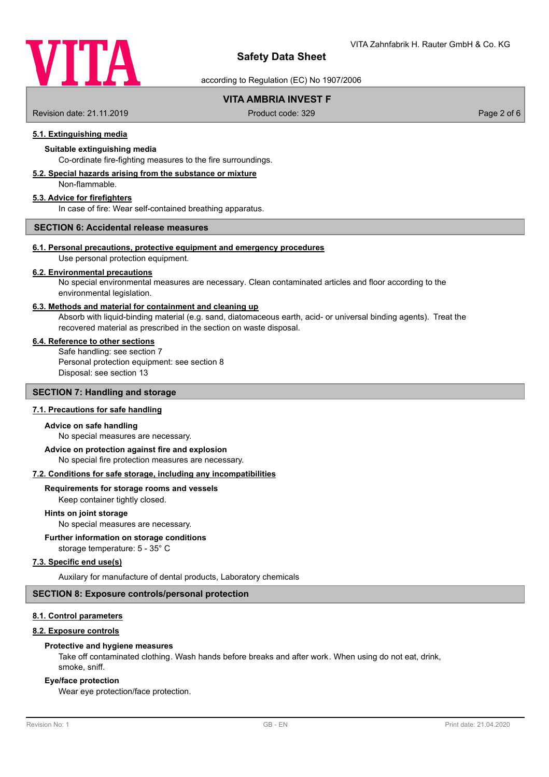

according to Regulation (EC) No 1907/2006

# **VITA AMBRIA INVEST F**

Revision date: 21.11.2019 **Product code: 329** Product code: 329 **Page 2 of 6** Page 2 of 6

## **5.1. Extinguishing media**

## **Suitable extinguishing media**

Co-ordinate fire-fighting measures to the fire surroundings.

#### **5.2. Special hazards arising from the substance or mixture**

Non-flammable.

## **5.3. Advice for firefighters**

In case of fire: Wear self-contained breathing apparatus.

## **SECTION 6: Accidental release measures**

#### **6.1. Personal precautions, protective equipment and emergency procedures**

Use personal protection equipment.

#### **6.2. Environmental precautions**

No special environmental measures are necessary. Clean contaminated articles and floor according to the environmental legislation.

#### **6.3. Methods and material for containment and cleaning up**

Absorb with liquid-binding material (e.g. sand, diatomaceous earth, acid- or universal binding agents). Treat the recovered material as prescribed in the section on waste disposal.

#### **6.4. Reference to other sections**

Safe handling: see section 7 Personal protection equipment: see section 8 Disposal: see section 13

## **SECTION 7: Handling and storage**

#### **7.1. Precautions for safe handling**

#### **Advice on safe handling**

No special measures are necessary.

## **Advice on protection against fire and explosion**

No special fire protection measures are necessary.

#### **7.2. Conditions for safe storage, including any incompatibilities**

#### **Requirements for storage rooms and vessels**

Keep container tightly closed.

#### **Hints on joint storage**

No special measures are necessary.

#### **Further information on storage conditions**

storage temperature: 5 - 35° C

## **7.3. Specific end use(s)**

Auxilary for manufacture of dental products, Laboratory chemicals

#### **SECTION 8: Exposure controls/personal protection**

#### **8.1. Control parameters**

#### **8.2. Exposure controls**

#### **Protective and hygiene measures**

Take off contaminated clothing. Wash hands before breaks and after work. When using do not eat, drink, smoke, sniff.

#### **Eye/face protection**

Wear eye protection/face protection.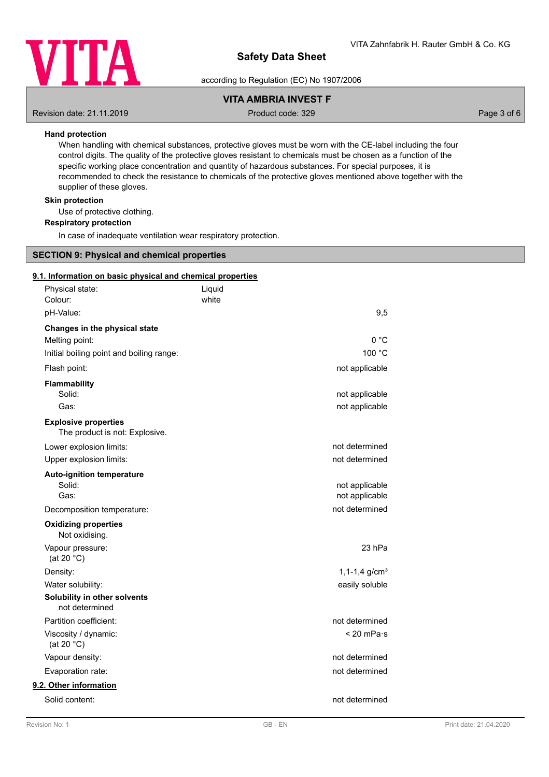

according to Regulation (EC) No 1907/2006

# **VITA AMBRIA INVEST F**

Revision date: 21.11.2019 **Product code: 329** Product code: 329 **Page 3 of 6** Page 3 of 6

## **Hand protection**

When handling with chemical substances, protective gloves must be worn with the CE-label including the four control digits. The quality of the protective gloves resistant to chemicals must be chosen as a function of the specific working place concentration and quantity of hazardous substances. For special purposes, it is recommended to check the resistance to chemicals of the protective gloves mentioned above together with the supplier of these gloves.

#### **Skin protection**

Use of protective clothing.

#### **Respiratory protection**

In case of inadequate ventilation wear respiratory protection.

# **SECTION 9: Physical and chemical properties**

#### **9.1. Information on basic physical and chemical properties**

| Physical state:<br>Colour:                                    | Liquid<br>white |                                  |
|---------------------------------------------------------------|-----------------|----------------------------------|
| pH-Value:                                                     |                 | 9,5                              |
| Changes in the physical state                                 |                 |                                  |
| Melting point:                                                |                 | 0 °C                             |
| Initial boiling point and boiling range:                      |                 | 100 °C                           |
| Flash point:                                                  |                 | not applicable                   |
| <b>Flammability</b>                                           |                 |                                  |
| Solid:                                                        |                 | not applicable                   |
| Gas:                                                          |                 | not applicable                   |
| <b>Explosive properties</b><br>The product is not: Explosive. |                 |                                  |
| Lower explosion limits:                                       |                 | not determined                   |
| Upper explosion limits:                                       |                 | not determined                   |
| <b>Auto-ignition temperature</b>                              |                 |                                  |
| Solid:<br>Gas:                                                |                 | not applicable                   |
|                                                               |                 | not applicable<br>not determined |
| Decomposition temperature:                                    |                 |                                  |
| <b>Oxidizing properties</b><br>Not oxidising.                 |                 |                                  |
| Vapour pressure:<br>(at 20 $°C$ )                             |                 | 23 <sub>hPa</sub>                |
| Density:                                                      |                 | $1, 1-1, 4$ g/cm <sup>3</sup>    |
| Water solubility:                                             |                 | easily soluble                   |
| Solubility in other solvents<br>not determined                |                 |                                  |
| Partition coefficient:                                        |                 | not determined                   |
| Viscosity / dynamic:<br>(at 20 $°C$ )                         |                 | $< 20$ mPa $\cdot$ s             |
| Vapour density:                                               |                 | not determined                   |
| Evaporation rate:                                             |                 | not determined                   |
| 9.2. Other information                                        |                 |                                  |
| Solid content:                                                |                 | not determined                   |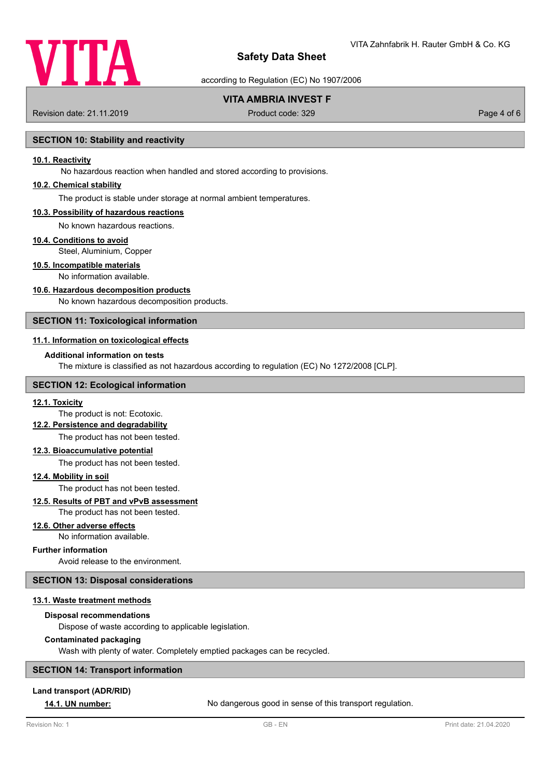

according to Regulation (EC) No 1907/2006

# **VITA AMBRIA INVEST F**

Revision date: 21.11.2019 **Product code: 329** Product code: 329 **Page 4 of 6** Page 4 of 6

## **SECTION 10: Stability and reactivity**

#### **10.1. Reactivity**

No hazardous reaction when handled and stored according to provisions.

### **10.2. Chemical stability**

The product is stable under storage at normal ambient temperatures.

#### **10.3. Possibility of hazardous reactions**

No known hazardous reactions.

#### **10.4. Conditions to avoid**

Steel, Aluminium, Copper

#### **10.5. Incompatible materials**

No information available.

## **10.6. Hazardous decomposition products**

No known hazardous decomposition products.

## **SECTION 11: Toxicological information**

### **11.1. Information on toxicological effects**

#### **Additional information on tests**

The mixture is classified as not hazardous according to regulation (EC) No 1272/2008 [CLP].

## **SECTION 12: Ecological information**

#### **12.1. Toxicity**

The product is not: Ecotoxic.

#### **12.2. Persistence and degradability**

The product has not been tested.

## **12.3. Bioaccumulative potential**

The product has not been tested.

# **12.4. Mobility in soil**

The product has not been tested.

#### **12.5. Results of PBT and vPvB assessment**

The product has not been tested.

#### **12.6. Other adverse effects**

No information available.

## **Further information**

Avoid release to the environment.

#### **SECTION 13: Disposal considerations**

#### **13.1. Waste treatment methods**

**Disposal recommendations**

#### Dispose of waste according to applicable legislation.

#### **Contaminated packaging**

Wash with plenty of water. Completely emptied packages can be recycled.

## **SECTION 14: Transport information**

#### **Land transport (ADR/RID)**

**14.1. UN number:** No dangerous good in sense of this transport regulation.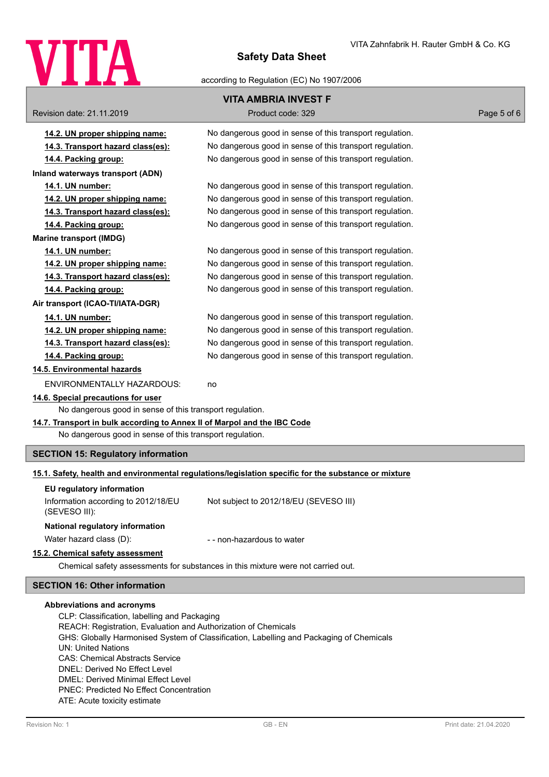

according to Regulation (EC) No 1907/2006

| Revision date: 21.11.2019                                                | <b>VITA AMBRIA INVEST F</b><br>Product code: 329                                                     | Page 5 of 6 |
|--------------------------------------------------------------------------|------------------------------------------------------------------------------------------------------|-------------|
|                                                                          |                                                                                                      |             |
| 14.2. UN proper shipping name:                                           | No dangerous good in sense of this transport regulation.                                             |             |
| 14.3. Transport hazard class(es):                                        | No dangerous good in sense of this transport regulation.                                             |             |
| 14.4. Packing group:                                                     | No dangerous good in sense of this transport regulation.                                             |             |
| Inland waterways transport (ADN)                                         |                                                                                                      |             |
| 14.1. UN number:                                                         | No dangerous good in sense of this transport regulation.                                             |             |
| 14.2. UN proper shipping name:                                           | No dangerous good in sense of this transport regulation.                                             |             |
| 14.3. Transport hazard class(es):                                        | No dangerous good in sense of this transport regulation.                                             |             |
| 14.4. Packing group:                                                     | No dangerous good in sense of this transport regulation.                                             |             |
| <b>Marine transport (IMDG)</b>                                           |                                                                                                      |             |
| 14.1. UN number:                                                         | No dangerous good in sense of this transport regulation.                                             |             |
| 14.2. UN proper shipping name:                                           | No dangerous good in sense of this transport regulation.                                             |             |
| 14.3. Transport hazard class(es):                                        | No dangerous good in sense of this transport regulation.                                             |             |
| 14.4. Packing group:                                                     | No dangerous good in sense of this transport regulation.                                             |             |
| Air transport (ICAO-TI/IATA-DGR)                                         |                                                                                                      |             |
| 14.1. UN number:                                                         | No dangerous good in sense of this transport regulation.                                             |             |
| 14.2. UN proper shipping name:                                           | No dangerous good in sense of this transport regulation.                                             |             |
| 14.3. Transport hazard class(es):                                        | No dangerous good in sense of this transport regulation.                                             |             |
| 14.4. Packing group:                                                     | No dangerous good in sense of this transport regulation.                                             |             |
| 14.5. Environmental hazards                                              |                                                                                                      |             |
| ENVIRONMENTALLY HAZARDOUS:                                               | no                                                                                                   |             |
| 14.6. Special precautions for user                                       |                                                                                                      |             |
| No dangerous good in sense of this transport regulation.                 |                                                                                                      |             |
| 14.7. Transport in bulk according to Annex II of Marpol and the IBC Code |                                                                                                      |             |
| No dangerous good in sense of this transport regulation.                 |                                                                                                      |             |
| <b>SECTION 15: Regulatory information</b>                                |                                                                                                      |             |
|                                                                          | 15.1. Safety, health and environmental regulations/legislation specific for the substance or mixture |             |
| EU regulatory information                                                |                                                                                                      |             |
| Information according to 2012/18/EU                                      | Not subject to 2012/18/EU (SEVESO III)                                                               |             |
| (SEVESO III):                                                            |                                                                                                      |             |
| National regulatory information                                          |                                                                                                      |             |
| Water hazard class (D):                                                  | - - non-hazardous to water                                                                           |             |
| 15.2. Chemical safety assessment                                         |                                                                                                      |             |
|                                                                          | Chemical safety assessments for substances in this mixture were not carried out.                     |             |

# **SECTION 16: Other information**

#### **Abbreviations and acronyms**

CLP: Classification, labelling and Packaging REACH: Registration, Evaluation and Authorization of Chemicals GHS: Globally Harmonised System of Classification, Labelling and Packaging of Chemicals UN: United Nations CAS: Chemical Abstracts Service DNEL: Derived No Effect Level DMEL: Derived Minimal Effect Level PNEC: Predicted No Effect Concentration ATE: Acute toxicity estimate